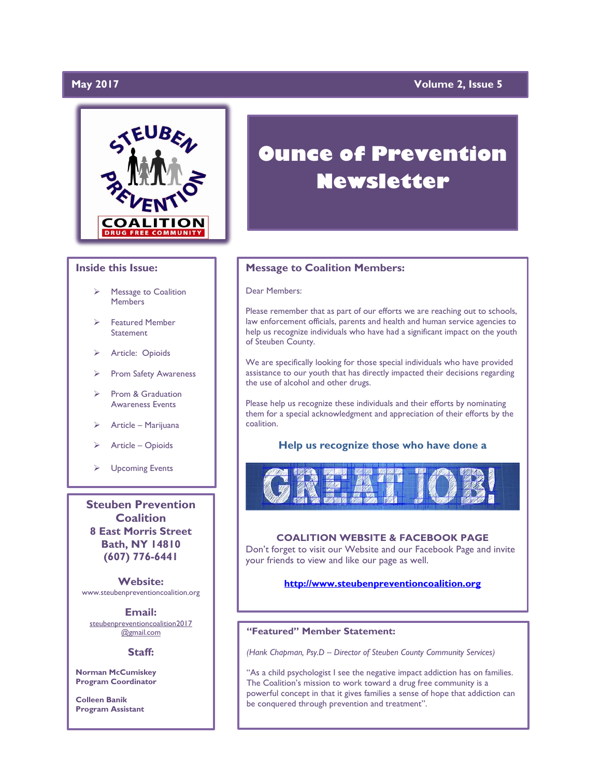# **May 2017**

# **Yolume 2, Issue 5**



### **Inside this Issue:**

- Message to Coalition **Members**
- Featured Member **Statement**
- > Article: Opioids
- ▶ Prom Safety Awareness
- $\triangleright$  Prom & Graduation Awareness Events
- Article Marijuana
- Article Opioids
- Upcoming Events

**Steuben Prevention Coalition 8 East Morris Street Bath, NY 14810 (607) 776-6441**

**Website:**  www.steubenpreventioncoalition.org

#### **Email:**

steubenpreventioncoalition2017 @gmail.com

#### **Staff:**

**Norman McCumiskey Program Coordinator**

**Colleen Banik Program Assistant**

# **Ounce of Prevention Newsletter**

### **Message to Coalition Members:**

### Dear Members:

Please remember that as part of our efforts we are reaching out to schools, law enforcement officials, parents and health and human service agencies to help us recognize individuals who have had a significant impact on the youth of Steuben County.

We are specifically looking for those special individuals who have provided assistance to our youth that has directly impacted their decisions regarding the use of alcohol and other drugs.

Please help us recognize these individuals and their efforts by nominating them for a special acknowledgment and appreciation of their efforts by the coalition.

## **Help us recognize those who have done a**



### **COALITION WEBSITE & FACEBOOK PAGE**

Don't forget to visit our Website and our Facebook Page and invite your friends to view and like our page as well.

## **[http://www.steubenpreventioncoalition.org](http://www.steubenpreventioncoalition.org/)**

### **"Featured" Member Statement:**

*(Hank Chapman, Psy.D – Director of Steuben County Community Services)*

"As a child psychologist I see the negative impact addiction has on families. The Coalition's mission to work toward a drug free community is a powerful concept in that it gives families a sense of hope that addiction can be conquered through prevention and treatment".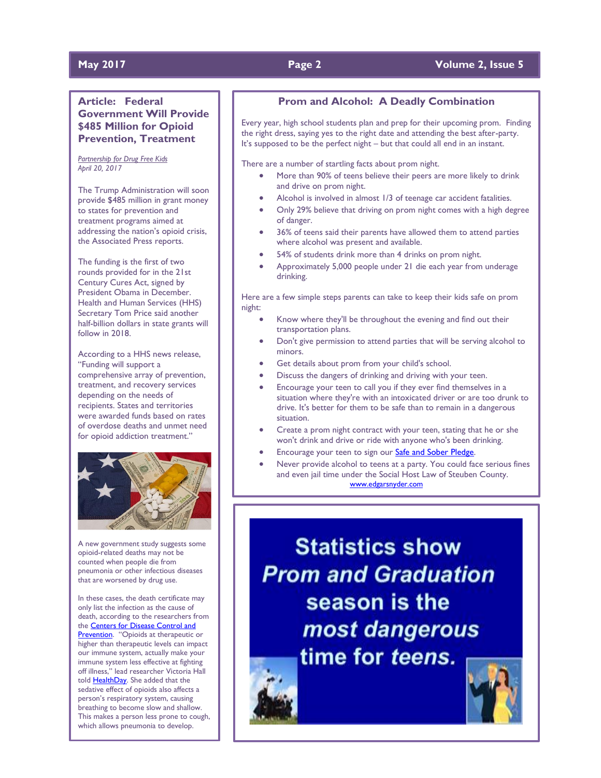# **May 2017 Page 2 Volume 2, Issue 5**

# **Article: Federal Government Will Provide \$485 Million for Opioid Prevention, Treatment**

*Partnership for Drug Free Kids April 20, 2017*

The Trump Administration will soon provide \$485 million in grant money to states for prevention and treatment programs aimed at addressing the nation's opioid crisis, the Associated Press reports.

The funding is the first of two rounds provided for in the 21st Century Cures Act, signed by President Obama in December. Health and Human Services (HHS) Secretary Tom Price said another half-billion dollars in state grants will follow in 2018.

According to a HHS news release, "Funding will support a comprehensive array of prevention, treatment, and recovery services depending on the needs of recipients. States and territories were awarded funds based on rates of overdose deaths and unmet need for opioid addiction treatment."



A new government study suggests some opioid-related deaths may not be counted when people die from pneumonia or other infectious diseases that are worsened by drug use.

In these cases, the death certificate may only list the infection as the cause of death, according to the researchers from the [Centers for Disease Control and](https://www.cdc.gov/media/dpk/cdc-24-7/eis-conference/pdf/Infectious-disease-complicates-opioid-overdose-deaths.pdf)  [Prevention](https://www.cdc.gov/media/dpk/cdc-24-7/eis-conference/pdf/Infectious-disease-complicates-opioid-overdose-deaths.pdf). "Opioids at therapeutic or higher than therapeutic levels can impact our immune system, actually make your immune system less effective at fighting off illness," lead researcher Victoria Hall told [HealthDay.](https://consumer.healthday.com/bone-and-joint-information-4/opioids-990/opioid-related-deaths-might-be-underestimated-cdc-722038.html) She added that the sedative effect of opioids also affects a person's respiratory system, causing breathing to become slow and shallow. This makes a person less prone to cough, which allows pneumonia to develop.

# **Prom and Alcohol: A Deadly Combination**

Every year, high school students plan and prep for their upcoming prom. Finding the right dress, saying yes to the right date and attending the best after-party. It's supposed to be the perfect night – but that could all end in an instant.

There are a number of startling facts about prom night.

- More than 90% of teens believe their peers are more likely to drink and drive on prom night.
- Alcohol is involved in almost 1/3 of teenage car accident fatalities.
- Only 29% believe that driving on prom night comes with a high degree of danger.
- 36% of teens said their parents have allowed them to attend parties where alcohol was present and available.
- 54% of students drink more than 4 drinks on prom night.
- Approximately 5,000 people under 21 die each year from underage drinking.

Here are a few simple steps parents can take to keep their kids safe on prom night:

- Know where they'll be throughout the evening and find out their transportation plans.
- Don't give permission to attend parties that will be serving alcohol to minors.
- Get details about prom from your child's school.
- Discuss the dangers of drinking and driving with your teen.
- Encourage your teen to call you if they ever find themselves in a situation where they're with an intoxicated driver or are too drunk to drive. It's better for them to be safe than to remain in a dangerous situation.
- Create a prom night contract with your teen, stating that he or she won't drink and drive or ride with anyone who's been drinking.
- Encourage your teen to sign our **Safe and Sober Pledge**.
- Never provide alcohol to teens at a party. You could face serious fines and even jail time under the Social Host Law of Steuben County. [www.edgarsnyder.com](http://www.edgarsnyder.com/)

**Statistics show Prom and Graduation** season is the most dangerous time for teens.

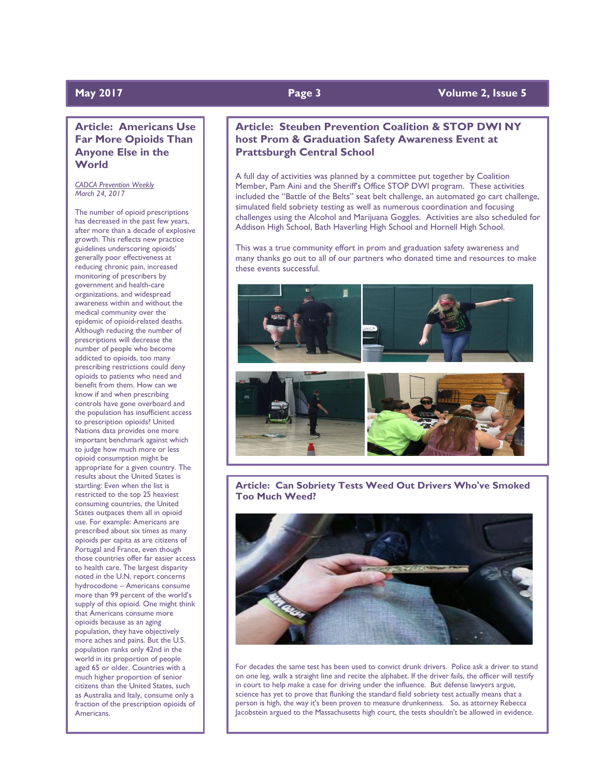# **Article: Americans Use Far More Opioids Than Anyone Else in the World**

*CADCA Prevention Weekly March 24, 2017*

The number of opioid prescriptions has decreased in the past few years, after more than a decade of explosive growth. This reflects new practice guidelines underscoring opioids' generally poor effectiveness at reducing chronic pain, increased monitoring of prescribers by government and health-care organizations, and widespread awareness within and without the medical community over the epidemic of opioid-related deaths. Although reducing the number of prescriptions will decrease the number of people who become addicted to opioids, too many prescribing restrictions could deny opioids to patients who need and benefit from them. How can we know if and when prescribing controls have gone overboard and the population has insufficient access to prescription opioids? United Nations data provides one more important benchmark against which to judge how much more or less opioid consumption might be appropriate for a given country. The results about the United States is startling: Even when the list is restricted to the top 25 heaviest consuming countries, the United States outpaces them all in opioid use. For example: Americans are prescribed about six times as many opioids per capita as are citizens of Portugal and France, even though those countries offer far easier access to health care. The largest disparity noted in the U.N. report concerns hydrocodone – Americans consume more than 99 percent of the world's supply of this opioid. One might think that Americans consume more opioids because as an aging population, they have objectively more aches and pains. But the U.S. population ranks only 42nd in the world in its proportion of people aged 65 or older. Countries with a much higher proportion of senior citizens than the United States, such as Australia and Italy, consume only a fraction of the prescription opioids of Americans.

# **May 2017 Page 3 Volume 2, Issue 5**

# **Article: Steuben Prevention Coalition & STOP DWI NY host Prom & Graduation Safety Awareness Event at Prattsburgh Central School**

A full day of activities was planned by a committee put together by Coalition Member, Pam Aini and the Sheriff's Office STOP DWI program. These activities included the "Battle of the Belts" seat belt challenge, an automated go cart challenge, simulated field sobriety testing as well as numerous coordination and focusing challenges using the Alcohol and Marijuana Goggles. Activities are also scheduled for Addison High School, Bath Haverling High School and Hornell High School.

This was a true community effort in prom and graduation safety awareness and many thanks go out to all of our partners who donated time and resources to make these events successful.



**Article: Can Sobriety Tests Weed Out Drivers Who've Smoked Too Much Weed?**



For decades the same test has been used to convict drunk drivers. Police ask a driver to stand on one leg, walk a straight line and recite the alphabet. If the driver fails, the officer will testify in court to help make a case for driving under the influence. But defense lawyers argue, science has yet to prove that flunking the standard field sobriety test actually means that a person is high, the way it's been proven to measure drunkenness. So, as attorney Rebecca Jacobstein argued to the Massachusetts high court, the tests shouldn't be allowed in evidence.